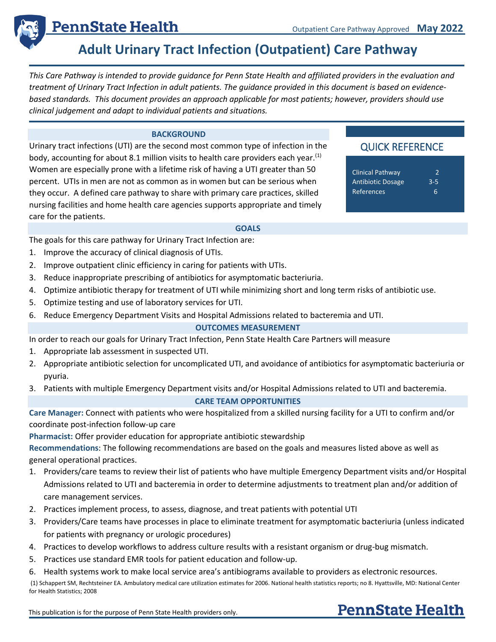### **Adult Urinary Tract Infection (Outpatient) Care Pathway**

*This Care Pathway is intended to provide guidance for Penn State Health and affiliated providers in the evaluation and treatment of Urinary Tract Infection in adult patients. The guidance provided in this document is based on evidencebased standards. This document provides an approach applicable for most patients; however, providers should use clinical judgement and adapt to individual patients and situations.*

### **BACKGROUND**

Urinary tract infections (UTI) are the second most common type of infection in the body, accounting for about 8.1 million visits to health care providers each year.<sup>(1)</sup> Women are especially prone with a lifetime risk of having a UTI greater than 50 percent. UTIs in men are not as common as in women but can be serious when they occur. A defined care pathway to share with primary care practices, skilled nursing facilities and home health care agencies supports appropriate and timely care for the patients.

### QUICK REFERENCE

| <b>Clinical Pathway</b>  | $\mathcal{P}$ |
|--------------------------|---------------|
| <b>Antibiotic Dosage</b> | $3 - 5$       |
| References               | Б             |
|                          |               |

### **GOALS**

The goals for this care pathway for Urinary Tract Infection are:

- 1. Improve the accuracy of clinical diagnosis of UTIs.
- 2. Improve outpatient clinic efficiency in caring for patients with UTIs.
- 3. Reduce inappropriate prescribing of antibiotics for asymptomatic bacteriuria.
- 4. Optimize antibiotic therapy for treatment of UTI while minimizing short and long term risks of antibiotic use.
- 5. Optimize testing and use of laboratory services for UTI.
- 6. Reduce Emergency Department Visits and Hospital Admissions related to bacteremia and UTI.

### **OUTCOMES MEASUREMENT**

In order to reach our goals for Urinary Tract Infection, Penn State Health Care Partners will measure

- 1. Appropriate lab assessment in suspected UTI.
- 2. Appropriate antibiotic selection for uncomplicated UTI, and avoidance of antibiotics for asymptomatic bacteriuria or pyuria.
- 3. Patients with multiple Emergency Department visits and/or Hospital Admissions related to UTI and bacteremia.

### **CARE TEAM OPPORTUNITIES**

**Care Manager:** Connect with patients who were hospitalized from a skilled nursing facility for a UTI to confirm and/or coordinate post-infection follow-up care

**Pharmacist:** Offer provider education for appropriate antibiotic stewardship

**Recommendations**: The following recommendations are based on the goals and measures listed above as well as general operational practices.

- 1. Providers/care teams to review their list of patients who have multiple Emergency Department visits and/or Hospital Admissions related to UTI and bacteremia in order to determine adjustments to treatment plan and/or addition of care management services.
- 2. Practices implement process, to assess, diagnose, and treat patients with potential UTI
- 3. Providers/Care teams have processes in place to eliminate treatment for asymptomatic bacteriuria (unless indicated for patients with pregnancy or urologic procedures)
- 4. Practices to develop workflows to address culture results with a resistant organism or drug-bug mismatch.
- 5. Practices use standard EMR tools for patient education and follow-up.
- 6. Health systems work to make local service area's antibiograms available to providers as electronic resources.

(1) Schappert SM, Rechtsteiner EA. Ambulatory medical care utilization estimates for 2006. National health statistics reports; no 8. Hyattsville, MD: National Center for Health Statistics; 2008

This publication is for the purpose of Penn State Health providers only.

# **PennState Health**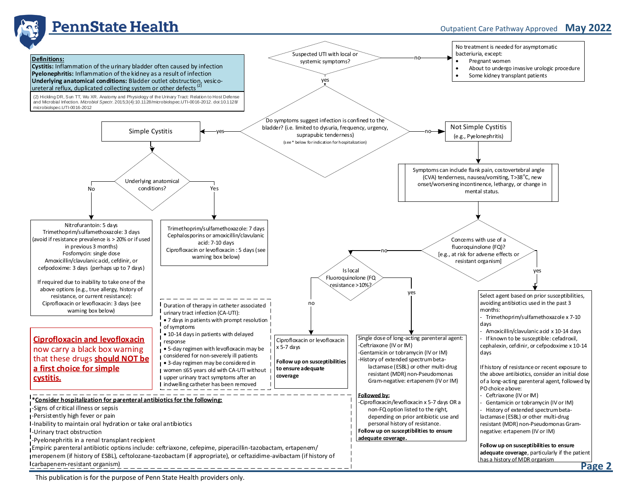



This publication is for the purpose of Penn State Health providers only.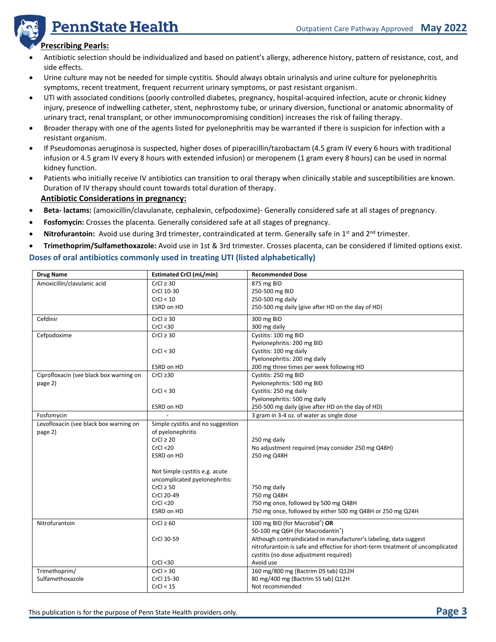### **Prescribing Pearls:**

- Antibiotic selection should be individualized and based on patient's allergy, adherence history, pattern of resistance, cost, and side effects.
- Urine culture may not be needed for simple cystitis. Should always obtain urinalysis and urine culture for pyelonephritis symptoms, recent treatment, frequent recurrent urinary symptoms, or past resistant organism.
- UTI with associated conditions (poorly controlled diabetes, pregnancy, hospital-acquired infection, acute or chronic kidney injury, presence of indwelling catheter, stent, nephrostomy tube, or urinary diversion, functional or anatomic abnormality of urinary tract, renal transplant, or other immunocompromising condition) increases the risk of failing therapy.
- Broader therapy with one of the agents listed for pyelonephritis may be warranted if there is suspicion for infection with a resistant organism.
- If Pseudomonas aeruginosa is suspected, higher doses of piperacillin/tazobactam (4.5 gram IV every 6 hours with traditional infusion or 4.5 gram IV every 8 hours with extended infusion) or meropenem (1 gram every 8 hours) can be used in normal kidney function.
- Patients who initially receive IV antibiotics can transition to oral therapy when clinically stable and susceptibilities are known. Duration of IV therapy should count towards total duration of therapy.

### **Antibiotic Considerations in pregnancy:**

- **Beta- lactams:** (amoxicillin/clavulanate, cephalexin, cefpodoxime)- Generally considered safe at all stages of pregnancy.
- **Fosfomycin:** Crosses the placenta. Generally considered safe at all stages of pregnancy.
- Nitrofurantoin: Avoid use during 3rd trimester, contraindicated at term. Generally safe in 1<sup>st</sup> and 2<sup>nd</sup> trimester.
- **Trimethoprim/Sulfamethoxazole:** Avoid use in 1st & 3rd trimester. Crosses placenta, can be considered if limited options exist.

### **Doses of oral antibiotics commonly used in treating UTI (listed alphabetically)**

| <b>Drug Name</b>                        | <b>Estimated CrCl (mL/min)</b>    | <b>Recommended Dose</b>                                                        |
|-----------------------------------------|-----------------------------------|--------------------------------------------------------------------------------|
| Amoxicillin/clavulanic acid             | $CrCl \geq 30$                    | 875 mg BID                                                                     |
|                                         | CrCl 10-30                        | 250-500 mg BID                                                                 |
|                                         | CrCl < 10                         | 250-500 mg daily                                                               |
|                                         | ESRD on HD                        | 250-500 mg daily (give after HD on the day of HD)                              |
| Cefdinir                                | $CrCl \geq 30$                    | 300 mg BID                                                                     |
|                                         | CrCl < 30                         | 300 mg daily                                                                   |
| Cefpodoxime                             | $CrCl \geq 30$                    | Cystitis: 100 mg BID                                                           |
|                                         |                                   | Pyelonephritis: 200 mg BID                                                     |
|                                         | CrCl < 30                         | Cystitis: 100 mg daily                                                         |
|                                         |                                   | Pyelonephritis: 200 mg daily                                                   |
|                                         | ESRD on HD                        | 200 mg three times per week following HD                                       |
| Ciprofloxacin (see black box warning on | $CrCl \geq 30$                    | Cystitis: 250 mg BID                                                           |
| page 2)                                 |                                   | Pyelonephritis: 500 mg BID                                                     |
|                                         | CrCl < 30                         | Cystitis: 250 mg daily                                                         |
|                                         |                                   | Pyelonephritis: 500 mg daily                                                   |
|                                         | ESRD on HD                        | 250-500 mg daily (give after HD on the day of HD)                              |
| Fosfomycin                              |                                   | 3 gram in 3-4 oz. of water as single dose                                      |
| Levofloxacin (see black box warning on  | Simple cystitis and no suggestion |                                                                                |
| page 2)                                 | of pyelonephritis                 |                                                                                |
|                                         | $CrCl \geq 20$                    | 250 mg daily                                                                   |
|                                         | CrCl < 20                         | No adjustment required (may consider 250 mg Q48H)                              |
|                                         | ESRD on HD                        | 250 mg Q48H                                                                    |
|                                         | Not Simple cystitis e.g. acute    |                                                                                |
|                                         | uncomplicated pyelonephritis:     |                                                                                |
|                                         | $CrCl \geq 50$                    | 750 mg daily                                                                   |
|                                         | CrCl 20-49                        | 750 mg Q48H                                                                    |
|                                         | CrCl < 20                         | 750 mg once, followed by 500 mg Q48H                                           |
|                                         | ESRD on HD                        | 750 mg once, followed by either 500 mg Q48H or 250 mg Q24H                     |
| Nitrofurantoin                          | $CrCl \geq 60$                    | 100 mg BID (for Macrobid <sup>®</sup> ) OR                                     |
|                                         |                                   | 50-100 mg Q6H (for Macrodantin <sup>®</sup> )                                  |
|                                         | CrCl 30-59                        | Although contraindicated in manufacturer's labeling, data suggest              |
|                                         |                                   | nitrofurantoin is safe and effective for short-term treatment of uncomplicated |
|                                         |                                   | cystitis (no dose adjustment required)                                         |
|                                         | CrCl < 30                         | Avoid use                                                                      |
| Trimethoprim/                           | CrCl > 30                         | 160 mg/800 mg (Bactrim DS tab) Q12H                                            |
| Sulfamethoxazole                        | CrCl 15-30                        | 80 mg/400 mg (Bactrim SS tab) Q12H                                             |
|                                         | CrCl < 15                         | Not recommended                                                                |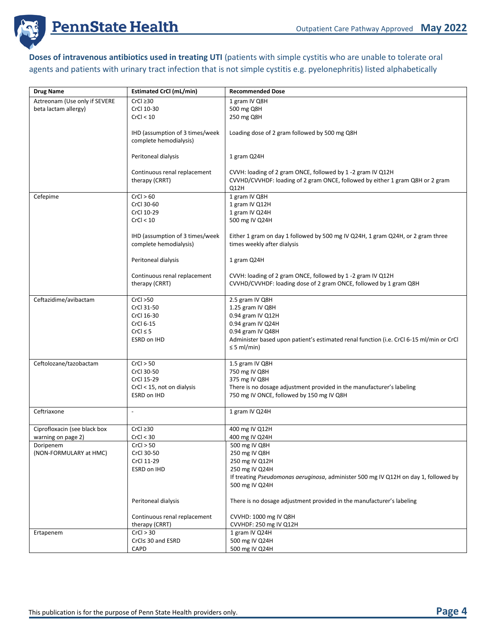

**Doses of intravenous antibiotics used in treating UTI** (patients with simple cystitis who are unable to tolerate oral agents and patients with urinary tract infection that is not simple cystitis e.g. pyelonephritis) listed alphabetically

| <b>Drug Name</b>              | <b>Estimated CrCl (mL/min)</b>                            | <b>Recommended Dose</b>                                                                                                                              |
|-------------------------------|-----------------------------------------------------------|------------------------------------------------------------------------------------------------------------------------------------------------------|
| Aztreonam (Use only if SEVERE | $CrCl \geq 30$                                            | 1 gram IV Q8H                                                                                                                                        |
| beta lactam allergy)          | CrCl 10-30                                                | 500 mg Q8H                                                                                                                                           |
|                               | CrCl < 10                                                 | 250 mg Q8H                                                                                                                                           |
|                               | IHD (assumption of 3 times/week<br>complete hemodialysis) | Loading dose of 2 gram followed by 500 mg Q8H                                                                                                        |
|                               | Peritoneal dialysis                                       | 1 gram Q24H                                                                                                                                          |
|                               | Continuous renal replacement<br>therapy (CRRT)            | CVVH: loading of 2 gram ONCE, followed by 1 -2 gram IV Q12H<br>CVVHD/CVVHDF: loading of 2 gram ONCE, followed by either 1 gram Q8H or 2 gram<br>Q12H |
| Cefepime                      | CrCl > 60                                                 | 1 gram IV Q8H                                                                                                                                        |
|                               | CrCl 30-60                                                | 1 gram IV Q12H                                                                                                                                       |
|                               | CrCl 10-29                                                | 1 gram IV Q24H                                                                                                                                       |
|                               | CrCl < 10                                                 | 500 mg IV Q24H                                                                                                                                       |
|                               | IHD (assumption of 3 times/week<br>complete hemodialysis) | Either 1 gram on day 1 followed by 500 mg IV Q24H, 1 gram Q24H, or 2 gram three<br>times weekly after dialysis                                       |
|                               | Peritoneal dialysis                                       | 1 gram Q24H                                                                                                                                          |
|                               | Continuous renal replacement<br>therapy (CRRT)            | CVVH: loading of 2 gram ONCE, followed by 1 -2 gram IV Q12H<br>CVVHD/CVVHDF: loading dose of 2 gram ONCE, followed by 1 gram Q8H                     |
| Ceftazidime/avibactam         | CrCl > 50                                                 | 2.5 gram IV Q8H                                                                                                                                      |
|                               | CrCl 31-50                                                | 1.25 gram IV Q8H                                                                                                                                     |
|                               | CrCl 16-30                                                | 0.94 gram IV Q12H                                                                                                                                    |
|                               | CrCl 6-15                                                 | 0.94 gram IV Q24H                                                                                                                                    |
|                               | $CrCl \leq 5$                                             | 0.94 gram IV Q48H                                                                                                                                    |
|                               | ESRD on IHD                                               | Administer based upon patient's estimated renal function (i.e. CrCl 6-15 ml/min or CrCl                                                              |
|                               |                                                           | $\leq$ 5 ml/min)                                                                                                                                     |
| Ceftolozane/tazobactam        | CrCl > 50                                                 | 1.5 gram IV Q8H                                                                                                                                      |
|                               | CrCl 30-50                                                | 750 mg IV Q8H                                                                                                                                        |
|                               | CrCl 15-29                                                | 375 mg IV Q8H                                                                                                                                        |
|                               | CrCl < 15, not on dialysis                                | There is no dosage adjustment provided in the manufacturer's labeling                                                                                |
|                               | ESRD on IHD                                               | 750 mg IV ONCE, followed by 150 mg IV Q8H                                                                                                            |
| Ceftriaxone                   | $\blacksquare$                                            | 1 gram IV Q24H                                                                                                                                       |
| Ciprofloxacin (see black box  | $CrCl \geq 30$                                            | 400 mg IV Q12H                                                                                                                                       |
| warning on page 2)            | CrCl < 30                                                 | 400 mg IV Q24H                                                                                                                                       |
| Doripenem                     | CrCl > 50                                                 | 500 mg IV Q8H                                                                                                                                        |
| (NON-FORMULARY at HMC)        | CrCl 30-50                                                | 250 mg IV Q8H                                                                                                                                        |
|                               | CrCl 11-29                                                | 250 mg IV Q12H                                                                                                                                       |
|                               | ESRD on IHD                                               | 250 mg IV Q24H                                                                                                                                       |
|                               |                                                           | If treating Pseudomonas aeruginosa, administer 500 mg IV Q12H on day 1, followed by                                                                  |
|                               |                                                           | 500 mg IV Q24H                                                                                                                                       |
|                               | Peritoneal dialysis                                       | There is no dosage adjustment provided in the manufacturer's labeling                                                                                |
|                               | Continuous renal replacement                              | CVVHD: 1000 mg IV Q8H                                                                                                                                |
|                               | therapy (CRRT)                                            | CVVHDF: 250 mg IV Q12H                                                                                                                               |
| Ertapenem                     | CrCl > 30                                                 | 1 gram IV Q24H                                                                                                                                       |
|                               | CrCl≤ 30 and ESRD                                         | 500 mg IV Q24H                                                                                                                                       |
|                               | CAPD                                                      | 500 mg IV Q24H                                                                                                                                       |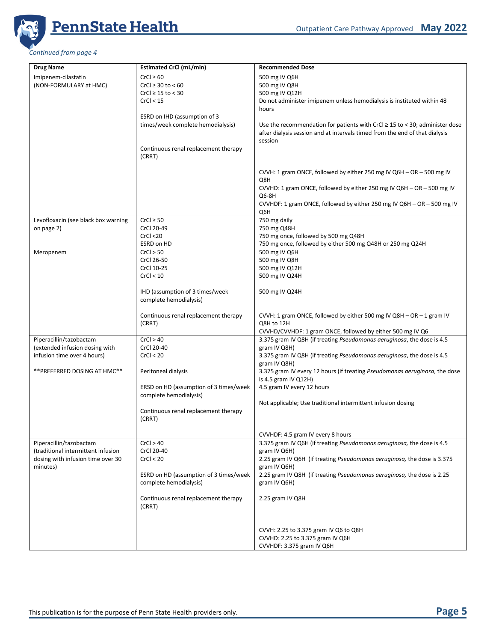

#### *Continued from page 4*

| <b>Drug Name</b>                    | <b>Estimated CrCl (mL/min)</b>         | <b>Recommended Dose</b>                                                           |
|-------------------------------------|----------------------------------------|-----------------------------------------------------------------------------------|
| Imipenem-cilastatin                 | $CrCl \geq 60$                         | 500 mg IV Q6H                                                                     |
| (NON-FORMULARY at HMC)              | CrCl $\geq$ 30 to < 60                 | 500 mg IV Q8H                                                                     |
|                                     | $CrCl \geq 15$ to < 30                 | 500 mg IV Q12H                                                                    |
|                                     | CrCl < 15                              | Do not administer imipenem unless hemodialysis is instituted within 48            |
|                                     |                                        | hours                                                                             |
|                                     | ESRD on IHD (assumption of 3           |                                                                                   |
|                                     | times/week complete hemodialysis)      | Use the recommendation for patients with CrCl $\geq$ 15 to < 30; administer dose  |
|                                     |                                        | after dialysis session and at intervals timed from the end of that dialysis       |
|                                     |                                        | session                                                                           |
|                                     | Continuous renal replacement therapy   |                                                                                   |
|                                     | (CRRT)                                 |                                                                                   |
|                                     |                                        |                                                                                   |
|                                     |                                        | CVVH: 1 gram ONCE, followed by either 250 mg IV Q6H $-$ OR $-$ 500 mg IV          |
|                                     |                                        | Q8H                                                                               |
|                                     |                                        | CVVHD: 1 gram ONCE, followed by either 250 mg IV Q6H $-$ OR $-$ 500 mg IV         |
|                                     |                                        | Q6-8H                                                                             |
|                                     |                                        | CVVHDF: 1 gram ONCE, followed by either 250 mg IV Q6H $-$ OR $-$ 500 mg IV<br>Q6H |
| Levofloxacin (see black box warning | $CrCl \geq 50$                         | 750 mg daily                                                                      |
| on page 2)                          | CrCl 20-49                             | 750 mg Q48H                                                                       |
|                                     | CrCl < 20                              | 750 mg once, followed by 500 mg Q48H                                              |
|                                     | ESRD on HD                             | 750 mg once, followed by either 500 mg Q48H or 250 mg Q24H                        |
| Meropenem                           | CrCl > 50                              | 500 mg IV Q6H                                                                     |
|                                     | CrCl 26-50                             | 500 mg IV Q8H                                                                     |
|                                     | CrCl 10-25                             | 500 mg IV Q12H                                                                    |
|                                     | CrCl < 10                              | 500 mg IV Q24H                                                                    |
|                                     |                                        |                                                                                   |
|                                     | IHD (assumption of 3 times/week        | 500 mg IV Q24H                                                                    |
|                                     | complete hemodialysis)                 |                                                                                   |
|                                     |                                        |                                                                                   |
|                                     | Continuous renal replacement therapy   | CVVH: 1 gram ONCE, followed by either 500 mg IV Q8H $-$ OR $-$ 1 gram IV          |
|                                     | (CRRT)                                 | Q8H to 12H                                                                        |
|                                     |                                        | CVVHD/CVVHDF: 1 gram ONCE, followed by either 500 mg IV Q6                        |
| Piperacillin/tazobactam             | CrCl > 40                              | 3.375 gram IV Q8H (if treating Pseudomonas aeruginosa, the dose is 4.5            |
| (extended infusion dosing with      | CrCl 20-40                             | gram IV Q8H)                                                                      |
| infusion time over 4 hours)         | CrCl < 20                              | 3.375 gram IV Q8H (if treating Pseudomonas aeruginosa, the dose is 4.5            |
|                                     |                                        | gram IV Q8H)                                                                      |
| ** PREFERRED DOSING AT HMC**        | Peritoneal dialysis                    | 3.375 gram IV every 12 hours (if treating Pseudomonas aeruginosa, the dose        |
|                                     |                                        | is 4.5 gram IV $Q12H$ )                                                           |
|                                     | ERSD on HD (assumption of 3 times/week | 4.5 gram IV every 12 hours                                                        |
|                                     | complete hemodialysis)                 |                                                                                   |
|                                     |                                        | Not applicable; Use traditional intermittent infusion dosing                      |
|                                     | Continuous renal replacement therapy   |                                                                                   |
|                                     | (CRRT)                                 |                                                                                   |
|                                     |                                        | CVVHDF: 4.5 gram IV every 8 hours                                                 |
| Piperacillin/tazobactam             | CrCl > 40                              | 3.375 gram IV Q6H (if treating Pseudomonas aeruginosa, the dose is 4.5            |
| (traditional intermittent infusion  | CrCl 20-40                             | gram IV Q6H)                                                                      |
| dosing with infusion time over 30   | CrCl < 20                              | 2.25 gram IV Q6H (if treating Pseudomonas aeruginosa, the dose is 3.375           |
| minutes)                            |                                        | gram IV Q6H)                                                                      |
|                                     | ESRD on HD (assumption of 3 times/week | 2.25 gram IV Q8H (if treating Pseudomonas aeruginosa, the dose is 2.25            |
|                                     | complete hemodialysis)                 | gram IV Q6H)                                                                      |
|                                     |                                        |                                                                                   |
|                                     | Continuous renal replacement therapy   | 2.25 gram IV Q8H                                                                  |
|                                     | (CRRT)                                 |                                                                                   |
|                                     |                                        |                                                                                   |
|                                     |                                        |                                                                                   |
|                                     |                                        | CVVH: 2.25 to 3.375 gram IV Q6 to Q8H<br>CVVHD: 2.25 to 3.375 gram IV Q6H         |
|                                     |                                        | CVVHDF: 3.375 gram IV Q6H                                                         |
|                                     |                                        |                                                                                   |